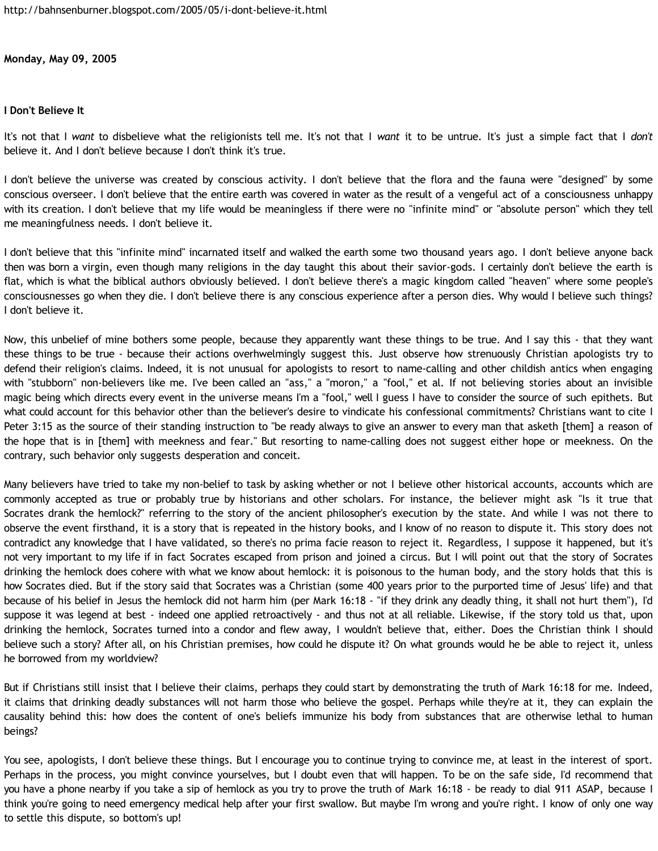**Monday, May 09, 2005**

## **I Don't Believe It**

It's not that I *want* to disbelieve what the religionists tell me. It's not that I *want* it to be untrue. It's just a simple fact that I *don't* believe it. And I don't believe because I don't think it's true.

I don't believe the universe was created by conscious activity. I don't believe that the flora and the fauna were "designed" by some conscious overseer. I don't believe that the entire earth was covered in water as the result of a vengeful act of a consciousness unhappy with its creation. I don't believe that my life would be meaningless if there were no "infinite mind" or "absolute person" which they tell me meaningfulness needs. I don't believe it.

I don't believe that this "infinite mind" incarnated itself and walked the earth some two thousand years ago. I don't believe anyone back then was born a virgin, even though many religions in the day taught this about their savior-gods. I certainly don't believe the earth is flat, which is what the biblical authors obviously believed. I don't believe there's a magic kingdom called "heaven" where some people's consciousnesses go when they die. I don't believe there is any conscious experience after a person dies. Why would I believe such things? I don't believe it.

Now, this unbelief of mine bothers some people, because they apparently want these things to be true. And I say this - that they want these things to be true - because their actions overhwelmingly suggest this. Just observe how strenuously Christian apologists try to defend their religion's claims. Indeed, it is not unusual for apologists to resort to name-calling and other childish antics when engaging with "stubborn" non-believers like me. I've been called an "ass," a "moron," a "fool," et al. If not believing stories about an invisible magic being which directs every event in the universe means I'm a "fool," well I guess I have to consider the source of such epithets. But what could account for this behavior other than the believer's desire to vindicate his confessional commitments? Christians want to cite I Peter 3:15 as the source of their standing instruction to "be ready always to give an answer to every man that asketh [them] a reason of the hope that is in [them] with meekness and fear." But resorting to name-calling does not suggest either hope or meekness. On the contrary, such behavior only suggests desperation and conceit.

Many believers have tried to take my non-belief to task by asking whether or not I believe other historical accounts, accounts which are commonly accepted as true or probably true by historians and other scholars. For instance, the believer might ask "Is it true that Socrates drank the hemlock?" referring to the story of the ancient philosopher's execution by the state. And while I was not there to observe the event firsthand, it is a story that is repeated in the history books, and I know of no reason to dispute it. This story does not contradict any knowledge that I have validated, so there's no prima facie reason to reject it. Regardless, I suppose it happened, but it's not very important to my life if in fact Socrates escaped from prison and joined a circus. But I will point out that the story of Socrates drinking the hemlock does cohere with what we know about hemlock: it is poisonous to the human body, and the story holds that this is how Socrates died. But if the story said that Socrates was a Christian (some 400 years prior to the purported time of Jesus' life) and that because of his belief in Jesus the hemlock did not harm him (per Mark 16:18 - "if they drink any deadly thing, it shall not hurt them"), I'd suppose it was legend at best - indeed one applied retroactively - and thus not at all reliable. Likewise, if the story told us that, upon drinking the hemlock, Socrates turned into a condor and flew away, I wouldn't believe that, either. Does the Christian think I should believe such a story? After all, on his Christian premises, how could he dispute it? On what grounds would he be able to reject it, unless he borrowed from my worldview?

But if Christians still insist that I believe their claims, perhaps they could start by demonstrating the truth of Mark 16:18 for me. Indeed, it claims that drinking deadly substances will not harm those who believe the gospel. Perhaps while they're at it, they can explain the causality behind this: how does the content of one's beliefs immunize his body from substances that are otherwise lethal to human beings?

You see, apologists, I don't believe these things. But I encourage you to continue trying to convince me, at least in the interest of sport. Perhaps in the process, you might convince yourselves, but I doubt even that will happen. To be on the safe side, I'd recommend that you have a phone nearby if you take a sip of hemlock as you try to prove the truth of Mark 16:18 - be ready to dial 911 ASAP, because I think you're going to need emergency medical help after your first swallow. But maybe I'm wrong and you're right. I know of only one way to settle this dispute, so bottom's up!